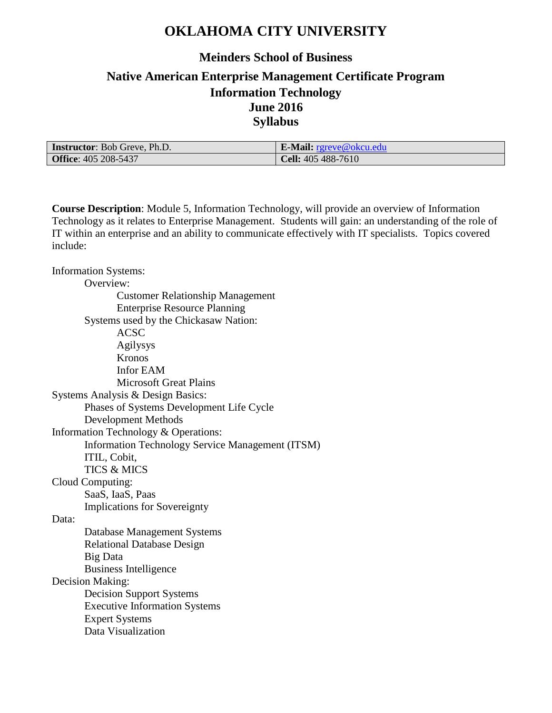# **OKLAHOMA CITY UNIVERSITY**

### **Meinders School of Business**

## **Native American Enterprise Management Certificate Program Information Technology June 2016 Syllabus**

| <b>Instructor:</b> Bob Greve, Ph.D. | <b>E-Mail:</b> $r$ greve@okcu.edu |
|-------------------------------------|-----------------------------------|
| <b>Office: 405 208-5437</b>         | <b>Cell:</b> 405 488-7610         |

**Course Description**: Module 5, Information Technology, will provide an overview of Information Technology as it relates to Enterprise Management. Students will gain: an understanding of the role of IT within an enterprise and an ability to communicate effectively with IT specialists. Topics covered include:

Information Systems: Overview: Customer Relationship Management Enterprise Resource Planning Systems used by the Chickasaw Nation: ACSC Agilysys Kronos Infor EAM Microsoft Great Plains Systems Analysis & Design Basics: Phases of Systems Development Life Cycle Development Methods Information Technology & Operations: Information Technology Service Management (ITSM) ITIL, Cobit, TICS & MICS Cloud Computing: SaaS, IaaS, Paas Implications for Sovereignty Data: Database Management Systems Relational Database Design Big Data Business Intelligence Decision Making: Decision Support Systems Executive Information Systems Expert Systems Data Visualization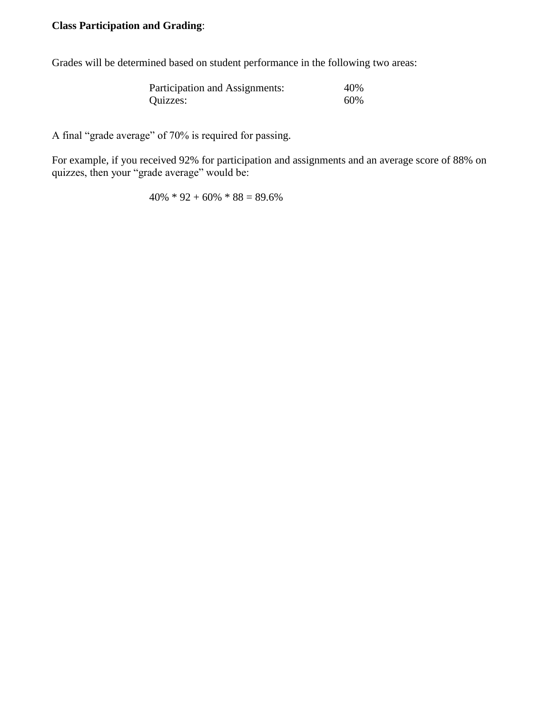#### **Class Participation and Grading**:

Grades will be determined based on student performance in the following two areas:

| Participation and Assignments: | 40% |
|--------------------------------|-----|
| Quizzes:                       | 60% |

A final "grade average" of 70% is required for passing.

For example, if you received 92% for participation and assignments and an average score of 88% on quizzes, then your "grade average" would be:

 $40\% * 92 + 60\% * 88 = 89.6\%$